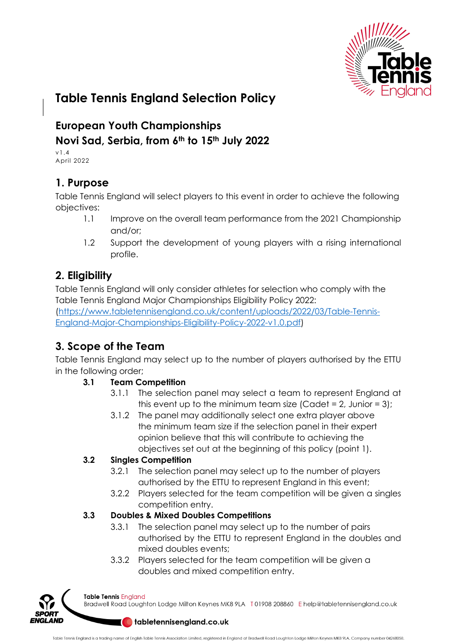

# **Table Tennis England Selection Policy**

## **European Youth Championships Novi Sad, Serbia, from 6th to 15th July 2022**

v1.4 April 2022

## **1. Purpose**

Table Tennis England will select players to this event in order to achieve the following objectives:

- 1.1 Improve on the overall team performance from the 2021 Championship and/or;
- 1.2 Support the development of young players with a rising international profile.

## **2. Eligibility**

Table Tennis England will only consider athletes for selection who comply with the Table Tennis England Major Championships Eligibility Policy 2022: (https://www.tabletennisengland.co.uk/content/uploads/2022/03/Table-Tennis-England-Major-Championships-Eligibility-Policy-2022-v1.0.pdf)

## **3. Scope of the Team**

Table Tennis England may select up to the number of players authorised by the ETTU in the following order;

### **3.1 Team Competition**

- 3.1.1 The selection panel may select a team to represent England at this event up to the minimum team size (Cadet =  $2$ , Junior =  $3$ );
- 3.1.2 The panel may additionally select one extra player above the minimum team size if the selection panel in their expert opinion believe that this will contribute to achieving the objectives set out at the beginning of this policy (point 1).

### **3.2 Singles Competition**

- 3.2.1 The selection panel may select up to the number of players authorised by the ETTU to represent England in this event;
- 3.2.2 Players selected for the team competition will be given a singles competition entry.

### **3.3 Doubles & Mixed Doubles Competitions**

- 3.3.1 The selection panel may select up to the number of pairs authorised by the ETTU to represent England in the doubles and mixed doubles events;
- 3.3.2 Players selected for the team competition will be given a doubles and mixed competition entry.



Table Tennis England

Bradwell Road Loughton Lodge Milton Keynes MK8 9LA T01908 208860 Ehelp@tabletennisengland.co.uk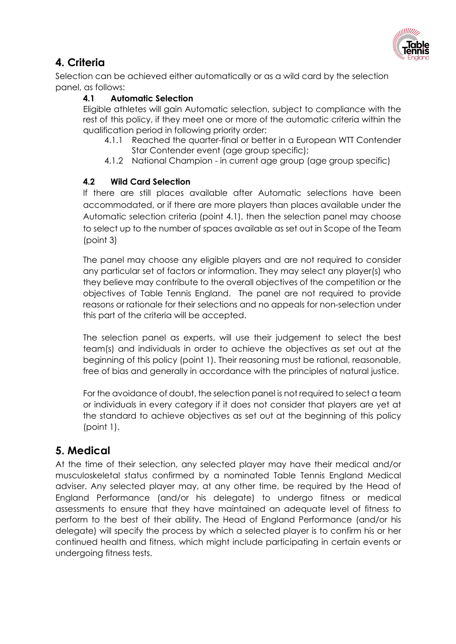

## **4. Criteria**

Selection can be achieved either automatically or as a wild card by the selection panel, as follows:

#### **4.1 Automatic Selection**

Eligible athletes will gain Automatic selection, subject to compliance with the rest of this policy, if they meet one or more of the automatic criteria within the qualification period in following priority order:

- 4.1.1 Reached the quarter-final or better in a European WTT Contender Star Contender event (age group specific);
- 4.1.2 National Champion in current age group (age group specific)

#### **4.2 Wild Card Selection**

If there are still places available after Automatic selections have been accommodated, or if there are more players than places available under the Automatic selection criteria (point 4.1), then the selection panel may choose to select up to the number of spaces available as set out in Scope of the Team (point 3)

The panel may choose any eligible players and are not required to consider any particular set of factors or information. They may select any player(s) who they believe may contribute to the overall objectives of the competition or the objectives of Table Tennis England. The panel are not required to provide reasons or rationale for their selections and no appeals for non-selection under this part of the criteria will be accepted.

The selection panel as experts, will use their judgement to select the best team(s) and individuals in order to achieve the objectives as set out at the beginning of this policy (point 1). Their reasoning must be rational, reasonable, free of bias and generally in accordance with the principles of natural justice.

For the avoidance of doubt, the selection panel is not required to select a team or individuals in every category if it does not consider that players are yet at the standard to achieve objectives as set out at the beginning of this policy (point 1).

## **5. Medical**

At the time of their selection, any selected player may have their medical and/or musculoskeletal status confirmed by a nominated Table Tennis England Medical adviser. Any selected player may, at any other time, be required by the Head of England Performance (and/or his delegate) to undergo fitness or medical assessments to ensure that they have maintained an adequate level of fitness to perform to the best of their ability. The Head of England Performance (and/or his delegate) will specify the process by which a selected player is to confirm his or her continued health and fitness, which might include participating in certain events or undergoing fitness tests.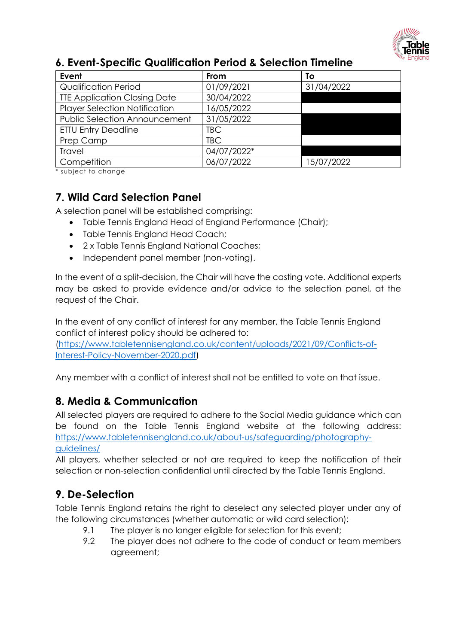

| Event                                | <b>From</b> | Τo         |
|--------------------------------------|-------------|------------|
| <b>Qualification Period</b>          | 01/09/2021  | 31/04/2022 |
| <b>TTE Application Closing Date</b>  | 30/04/2022  |            |
| <b>Player Selection Notification</b> | 16/05/2022  |            |
| <b>Public Selection Announcement</b> | 31/05/2022  |            |
| <b>ETTU Entry Deadline</b>           | <b>TBC</b>  |            |
| Prep Camp                            | <b>TBC</b>  |            |
| <b>Travel</b>                        | 04/07/2022* |            |
| Competition                          | 06/07/2022  | 15/07/2022 |

#### **6. Event-Specific Qualification Period & Selection Timeline**

\* subject to change

## **7. Wild Card Selection Panel**

A selection panel will be established comprising:

- Table Tennis England Head of England Performance (Chair);
- Table Tennis England Head Coach;
- 2 x Table Tennis England National Coaches;
- Independent panel member (non-voting).

In the event of a split-decision, the Chair will have the casting vote. Additional experts may be asked to provide evidence and/or advice to the selection panel, at the request of the Chair.

In the event of any conflict of interest for any member, the Table Tennis England conflict of interest policy should be adhered to: (https://www.tabletennisengland.co.uk/content/uploads/2021/09/Conflicts-of-

Interest-Policy-November-2020.pdf)

Any member with a conflict of interest shall not be entitled to vote on that issue.

## **8. Media & Communication**

All selected players are required to adhere to the Social Media guidance which can be found on the Table Tennis England website at the following address: https://www.tabletennisengland.co.uk/about-us/safeguarding/photographyguidelines/

All players, whether selected or not are required to keep the notification of their selection or non-selection confidential until directed by the Table Tennis England.

## **9. De-Selection**

Table Tennis England retains the right to deselect any selected player under any of the following circumstances (whether automatic or wild card selection):

- 9.1 The player is no longer eligible for selection for this event;
- 9.2 The player does not adhere to the code of conduct or team members agreement;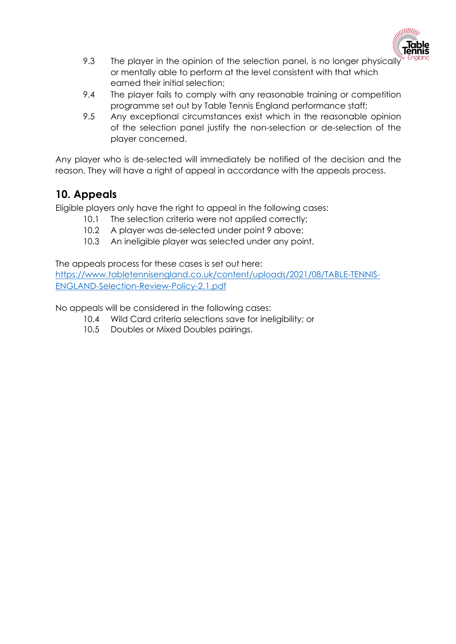

- 9.3 The player in the opinion of the selection panel, is no longer physically or mentally able to perform at the level consistent with that which earned their initial selection;
- 9.4 The player fails to comply with any reasonable training or competition programme set out by Table Tennis England performance staff;
- 9.5 Any exceptional circumstances exist which in the reasonable opinion of the selection panel justify the non-selection or de-selection of the player concerned.

Any player who is de-selected will immediately be notified of the decision and the reason. They will have a right of appeal in accordance with the appeals process.

## **10. Appeals**

Eligible players only have the right to appeal in the following cases:

- 10.1 The selection criteria were not applied correctly;
- 10.2 A player was de-selected under point 9 above;
- 10.3 An ineligible player was selected under any point.

The appeals process for these cases is set out here:

https://www.tabletennisengland.co.uk/content/uploads/2021/08/TABLE-TENNIS-ENGLAND-Selection-Review-Policy-2.1.pdf

No appeals will be considered in the following cases:

- 10.4 Wild Card criteria selections save for ineligibility; or
- 10.5 Doubles or Mixed Doubles pairings.